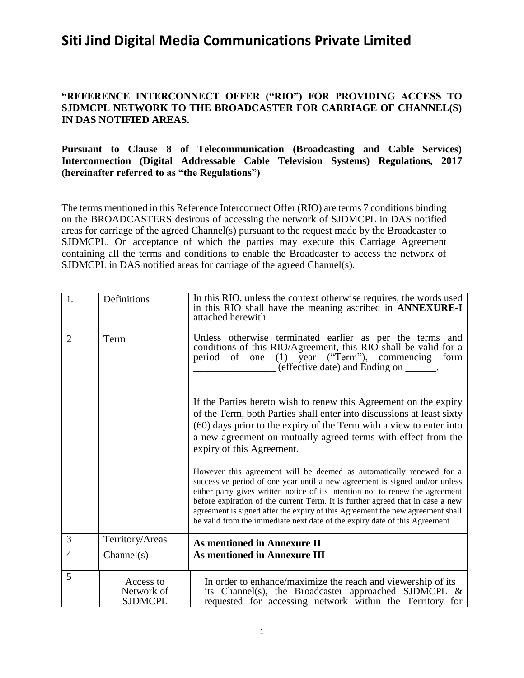### **"REFERENCE INTERCONNECT OFFER ("RIO") FOR PROVIDING ACCESS TO SJDMCPL NETWORK TO THE BROADCASTER FOR CARRIAGE OF CHANNEL(S) IN DAS NOTIFIED AREAS.**

#### **Pursuant to Clause 8 of Telecommunication (Broadcasting and Cable Services) Interconnection (Digital Addressable Cable Television Systems) Regulations, 2017 (hereinafter referred to as "the Regulations")**

The terms mentioned in this Reference Interconnect Offer (RIO) are terms 7 conditions binding on the BROADCASTERS desirous of accessing the network of SJDMCPL in DAS notified areas for carriage of the agreed Channel(s) pursuant to the request made by the Broadcaster to SJDMCPL. On acceptance of which the parties may execute this Carriage Agreement containing all the terms and conditions to enable the Broadcaster to access the network of SJDMCPL in DAS notified areas for carriage of the agreed Channel(s).

| 1.             | Definitions                               | In this RIO, unless the context otherwise requires, the words used<br>in this RIO shall have the meaning ascribed in <b>ANNEXURE-I</b><br>attached herewith.                                                                                                                                                                                                                                                                                                                           |
|----------------|-------------------------------------------|----------------------------------------------------------------------------------------------------------------------------------------------------------------------------------------------------------------------------------------------------------------------------------------------------------------------------------------------------------------------------------------------------------------------------------------------------------------------------------------|
| $\overline{2}$ | Term                                      | Unless otherwise terminated earlier as per the terms and<br>conditions of this RIO/Agreement, this RIO shall be valid for a<br>period of one (1) year ("Term"), commencing<br>form<br>(effective date) and Ending on ______.                                                                                                                                                                                                                                                           |
|                |                                           | If the Parties hereto wish to renew this Agreement on the expiry<br>of the Term, both Parties shall enter into discussions at least sixty<br>(60) days prior to the expiry of the Term with a view to enter into<br>a new agreement on mutually agreed terms with effect from the<br>expiry of this Agreement.                                                                                                                                                                         |
|                |                                           | However this agreement will be deemed as automatically renewed for a<br>successive period of one year until a new agreement is signed and/or unless<br>either party gives written notice of its intention not to renew the agreement<br>before expiration of the current Term. It is further agreed that in case a new<br>agreement is signed after the expiry of this Agreement the new agreement shall<br>be valid from the immediate next date of the expiry date of this Agreement |
| 3              | Territory/Areas                           | <b>As mentioned in Annexure II</b>                                                                                                                                                                                                                                                                                                                                                                                                                                                     |
| $\overline{4}$ | Channel(s)                                | <b>As mentioned in Annexure III</b>                                                                                                                                                                                                                                                                                                                                                                                                                                                    |
| 5              | Access to<br>Network of<br><b>SJDMCPL</b> | In order to enhance/maximize the reach and viewership of its<br>its Channel(s), the Broadcaster approached SJDMCPL $\&$<br>requested for accessing network within the Territory for                                                                                                                                                                                                                                                                                                    |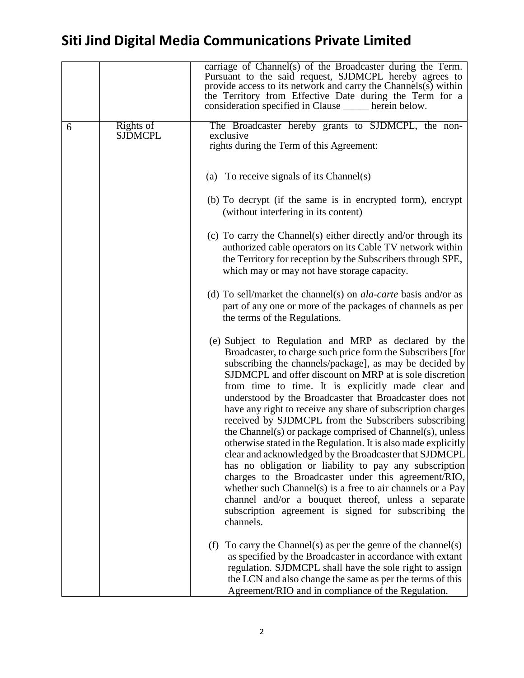|   |                             | carriage of Channel(s) of the Broadcaster during the Term.<br>Pursuant to the said request, SJDMCPL hereby agrees to<br>provide access to its network and carry the Channels $(s)$ within<br>the Territory from Effective Date during the Term for a<br>consideration specified in Clause ______ herein below.                                                                                                                                                                                                                                                                                                                                                                                                                                                                                                                                                                                                                                                                          |
|---|-----------------------------|-----------------------------------------------------------------------------------------------------------------------------------------------------------------------------------------------------------------------------------------------------------------------------------------------------------------------------------------------------------------------------------------------------------------------------------------------------------------------------------------------------------------------------------------------------------------------------------------------------------------------------------------------------------------------------------------------------------------------------------------------------------------------------------------------------------------------------------------------------------------------------------------------------------------------------------------------------------------------------------------|
| 6 | Rights of<br><b>SJDMCPL</b> | The Broadcaster hereby grants to SJDMCPL, the non-<br>exclusive<br>rights during the Term of this Agreement:                                                                                                                                                                                                                                                                                                                                                                                                                                                                                                                                                                                                                                                                                                                                                                                                                                                                            |
|   |                             | (a) To receive signals of its Channel(s)                                                                                                                                                                                                                                                                                                                                                                                                                                                                                                                                                                                                                                                                                                                                                                                                                                                                                                                                                |
|   |                             | (b) To decrypt (if the same is in encrypted form), encrypt<br>(without interfering in its content)                                                                                                                                                                                                                                                                                                                                                                                                                                                                                                                                                                                                                                                                                                                                                                                                                                                                                      |
|   |                             | (c) To carry the Channel(s) either directly and/or through its<br>authorized cable operators on its Cable TV network within<br>the Territory for reception by the Subscribers through SPE,<br>which may or may not have storage capacity.                                                                                                                                                                                                                                                                                                                                                                                                                                                                                                                                                                                                                                                                                                                                               |
|   |                             | (d) To sell/market the channel(s) on <i>ala-carte</i> basis and/or as<br>part of any one or more of the packages of channels as per<br>the terms of the Regulations.                                                                                                                                                                                                                                                                                                                                                                                                                                                                                                                                                                                                                                                                                                                                                                                                                    |
|   |                             | (e) Subject to Regulation and MRP as declared by the<br>Broadcaster, to charge such price form the Subscribers [for]<br>subscribing the channels/package], as may be decided by<br>SJDMCPL and offer discount on MRP at is sole discretion<br>from time to time. It is explicitly made clear and<br>understood by the Broadcaster that Broadcaster does not<br>have any right to receive any share of subscription charges<br>received by SJDMCPL from the Subscribers subscribing<br>the Channel(s) or package comprised of Channel(s), unless<br>otherwise stated in the Regulation. It is also made explicitly<br>clear and acknowledged by the Broadcaster that SJDMCPL<br>has no obligation or liability to pay any subscription<br>charges to the Broadcaster under this agreement/RIO,<br>whether such Channel(s) is a free to air channels or a Pay<br>channel and/or a bouquet thereof, unless a separate<br>subscription agreement is signed for subscribing the<br>channels. |
|   |                             | To carry the Channel(s) as per the genre of the channel(s)<br>(f)<br>as specified by the Broadcaster in accordance with extant<br>regulation. SJDMCPL shall have the sole right to assign<br>the LCN and also change the same as per the terms of this<br>Agreement/RIO and in compliance of the Regulation.                                                                                                                                                                                                                                                                                                                                                                                                                                                                                                                                                                                                                                                                            |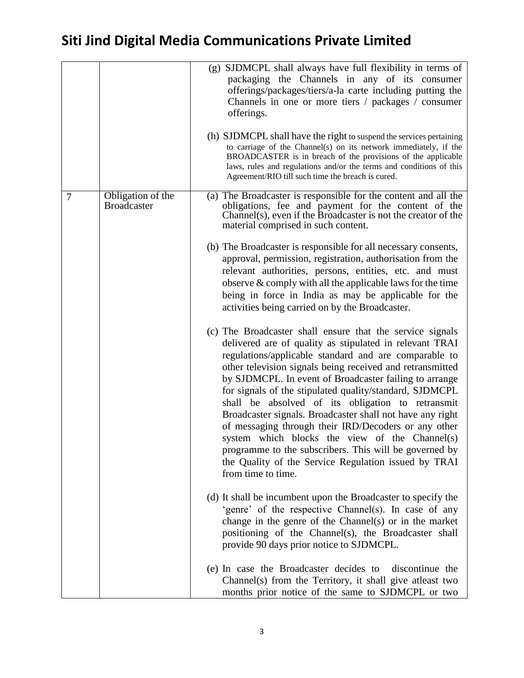|   |                                         | (g) SJDMCPL shall always have full flexibility in terms of<br>packaging the Channels in any of its consumer<br>offerings/packages/tiers/a-la carte including putting the<br>Channels in one or more tiers / packages / consumer<br>offerings.<br>(h) SJDMCPL shall have the right to suspend the services pertaining<br>to carriage of the Channel(s) on its network immediately, if the<br>BROADCASTER is in breach of the provisions of the applicable<br>laws, rules and regulations and/or the terms and conditions of this<br>Agreement/RIO till such time the breach is cured.                                                                                                                                                |
|---|-----------------------------------------|-------------------------------------------------------------------------------------------------------------------------------------------------------------------------------------------------------------------------------------------------------------------------------------------------------------------------------------------------------------------------------------------------------------------------------------------------------------------------------------------------------------------------------------------------------------------------------------------------------------------------------------------------------------------------------------------------------------------------------------|
| 7 | Obligation of the<br><b>Broadcaster</b> | (a) The Broadcaster is responsible for the content and all the<br>obligations, fee and payment for the content of the<br>Channel(s), even if the Broadcaster is not the creator of the<br>material comprised in such content.                                                                                                                                                                                                                                                                                                                                                                                                                                                                                                       |
|   |                                         | (b) The Broadcaster is responsible for all necessary consents,<br>approval, permission, registration, authorisation from the<br>relevant authorities, persons, entities, etc. and must<br>observe $&$ comply with all the applicable laws for the time<br>being in force in India as may be applicable for the<br>activities being carried on by the Broadcaster.                                                                                                                                                                                                                                                                                                                                                                   |
|   |                                         | (c) The Broadcaster shall ensure that the service signals<br>delivered are of quality as stipulated in relevant TRAI<br>regulations/applicable standard and are comparable to<br>other television signals being received and retransmitted<br>by SJDMCPL. In event of Broadcaster failing to arrange<br>for signals of the stipulated quality/standard, SJDMCPL<br>shall be absolved of its obligation to retransmit<br>Broadcaster signals. Broadcaster shall not have any right<br>of messaging through their IRD/Decoders or any other<br>system which blocks the view of the Channel(s)<br>programme to the subscribers. This will be governed by<br>the Quality of the Service Regulation issued by TRAI<br>from time to time. |
|   |                                         | (d) It shall be incumbent upon the Broadcaster to specify the<br>'genre' of the respective Channel(s). In case of any<br>change in the genre of the Channel(s) or in the market<br>positioning of the Channel(s), the Broadcaster shall<br>provide 90 days prior notice to SJDMCPL.                                                                                                                                                                                                                                                                                                                                                                                                                                                 |
|   |                                         | (e) In case the Broadcaster decides to<br>discontinue the<br>Channel(s) from the Territory, it shall give at least two<br>months prior notice of the same to SJDMCPL or two                                                                                                                                                                                                                                                                                                                                                                                                                                                                                                                                                         |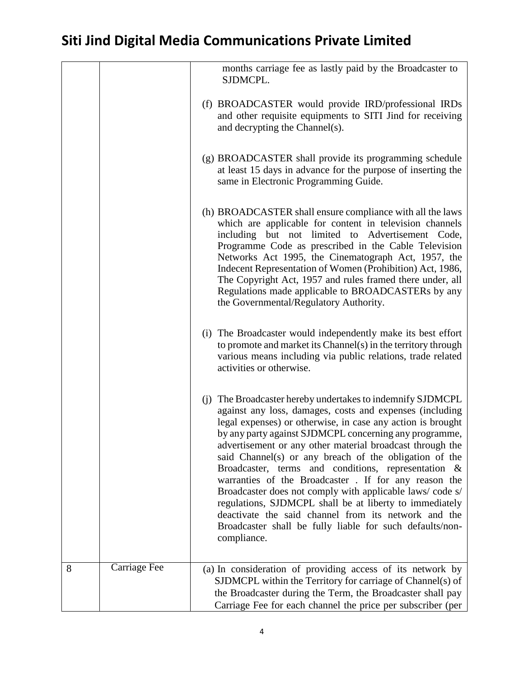|   |              | months carriage fee as lastly paid by the Broadcaster to<br>SJDMCPL.                                                                                                                                                                                                                                                                                                                                                                                                                                                                                                                                                                                                                                                                             |
|---|--------------|--------------------------------------------------------------------------------------------------------------------------------------------------------------------------------------------------------------------------------------------------------------------------------------------------------------------------------------------------------------------------------------------------------------------------------------------------------------------------------------------------------------------------------------------------------------------------------------------------------------------------------------------------------------------------------------------------------------------------------------------------|
|   |              | (f) BROADCASTER would provide IRD/professional IRDs<br>and other requisite equipments to SITI Jind for receiving<br>and decrypting the Channel(s).                                                                                                                                                                                                                                                                                                                                                                                                                                                                                                                                                                                               |
|   |              | (g) BROADCASTER shall provide its programming schedule<br>at least 15 days in advance for the purpose of inserting the<br>same in Electronic Programming Guide.                                                                                                                                                                                                                                                                                                                                                                                                                                                                                                                                                                                  |
|   |              | (h) BROADCASTER shall ensure compliance with all the laws<br>which are applicable for content in television channels<br>including but not limited to Advertisement Code,<br>Programme Code as prescribed in the Cable Television<br>Networks Act 1995, the Cinematograph Act, 1957, the<br>Indecent Representation of Women (Prohibition) Act, 1986,<br>The Copyright Act, 1957 and rules framed there under, all<br>Regulations made applicable to BROADCASTERs by any<br>the Governmental/Regulatory Authority.                                                                                                                                                                                                                                |
|   |              | (i) The Broadcaster would independently make its best effort<br>to promote and market its Channel(s) in the territory through<br>various means including via public relations, trade related<br>activities or otherwise.                                                                                                                                                                                                                                                                                                                                                                                                                                                                                                                         |
|   |              | (j) The Broadcaster hereby undertakes to indemnify SJDMCPL<br>against any loss, damages, costs and expenses (including<br>legal expenses) or otherwise, in case any action is brought<br>by any party against SJDMCPL concerning any programme,<br>advertisement or any other material broadcast through the<br>said Channel(s) or any breach of the obligation of the<br>Broadcaster, terms and conditions, representation &<br>warranties of the Broadcaster . If for any reason the<br>Broadcaster does not comply with applicable laws/code s/<br>regulations, SJDMCPL shall be at liberty to immediately<br>deactivate the said channel from its network and the<br>Broadcaster shall be fully liable for such defaults/non-<br>compliance. |
| 8 | Carriage Fee | (a) In consideration of providing access of its network by<br>SJDMCPL within the Territory for carriage of Channel(s) of<br>the Broadcaster during the Term, the Broadcaster shall pay                                                                                                                                                                                                                                                                                                                                                                                                                                                                                                                                                           |
|   |              | Carriage Fee for each channel the price per subscriber (per                                                                                                                                                                                                                                                                                                                                                                                                                                                                                                                                                                                                                                                                                      |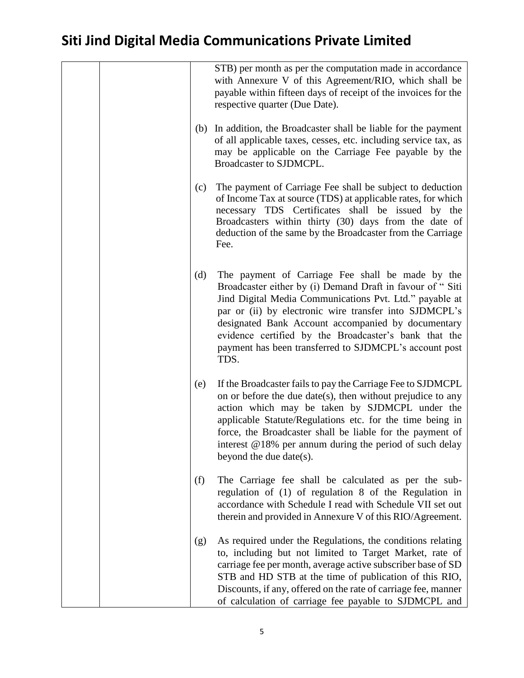|     | STB) per month as per the computation made in accordance<br>with Annexure V of this Agreement/RIO, which shall be<br>payable within fifteen days of receipt of the invoices for the<br>respective quarter (Due Date).                                                                                                                                                                                               |
|-----|---------------------------------------------------------------------------------------------------------------------------------------------------------------------------------------------------------------------------------------------------------------------------------------------------------------------------------------------------------------------------------------------------------------------|
| (b) | In addition, the Broadcaster shall be liable for the payment<br>of all applicable taxes, cesses, etc. including service tax, as<br>may be applicable on the Carriage Fee payable by the<br>Broadcaster to SJDMCPL.                                                                                                                                                                                                  |
| (c) | The payment of Carriage Fee shall be subject to deduction<br>of Income Tax at source (TDS) at applicable rates, for which<br>necessary TDS Certificates shall be issued by the<br>Broadcasters within thirty (30) days from the date of<br>deduction of the same by the Broadcaster from the Carriage<br>Fee.                                                                                                       |
| (d) | The payment of Carriage Fee shall be made by the<br>Broadcaster either by (i) Demand Draft in favour of "Siti<br>Jind Digital Media Communications Pvt. Ltd." payable at<br>par or (ii) by electronic wire transfer into SJDMCPL's<br>designated Bank Account accompanied by documentary<br>evidence certified by the Broadcaster's bank that the<br>payment has been transferred to SJDMCPL's account post<br>TDS. |
| (e) | If the Broadcaster fails to pay the Carriage Fee to SJDMCPL<br>on or before the due date(s), then without prejudice to any<br>action which may be taken by SJDMCPL under the<br>applicable Statute/Regulations etc. for the time being in<br>force, the Broadcaster shall be liable for the payment of<br>interest @18% per annum during the period of such delay<br>beyond the due date(s).                        |
| (f) | The Carriage fee shall be calculated as per the sub-<br>regulation of (1) of regulation 8 of the Regulation in<br>accordance with Schedule I read with Schedule VII set out<br>therein and provided in Annexure V of this RIO/Agreement.                                                                                                                                                                            |
| (g) | As required under the Regulations, the conditions relating<br>to, including but not limited to Target Market, rate of<br>carriage fee per month, average active subscriber base of SD<br>STB and HD STB at the time of publication of this RIO,<br>Discounts, if any, offered on the rate of carriage fee, manner<br>of calculation of carriage fee payable to SJDMCPL and                                          |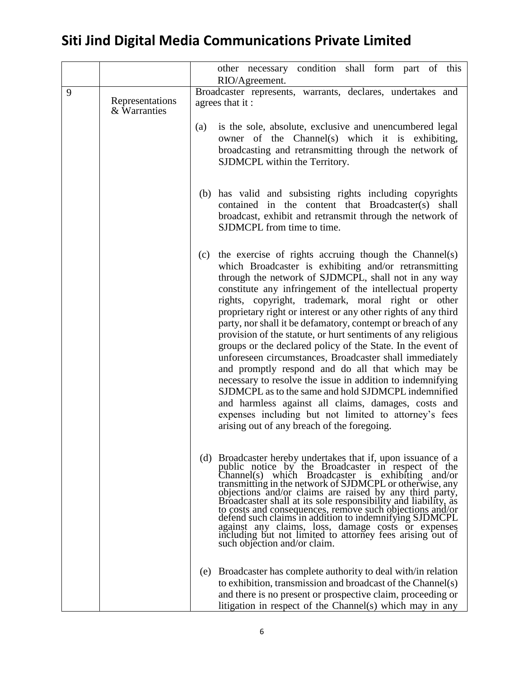|   |                                 | other necessary condition shall form part of this                                                                                                                                                                                                                                                                                                                                                                                                                                                                                                                                                                                                                                                                                                                                                                                                                                                                                                                     |
|---|---------------------------------|-----------------------------------------------------------------------------------------------------------------------------------------------------------------------------------------------------------------------------------------------------------------------------------------------------------------------------------------------------------------------------------------------------------------------------------------------------------------------------------------------------------------------------------------------------------------------------------------------------------------------------------------------------------------------------------------------------------------------------------------------------------------------------------------------------------------------------------------------------------------------------------------------------------------------------------------------------------------------|
|   |                                 | RIO/Agreement.                                                                                                                                                                                                                                                                                                                                                                                                                                                                                                                                                                                                                                                                                                                                                                                                                                                                                                                                                        |
| 9 | Representations<br>& Warranties | Broadcaster represents, warrants, declares, undertakes and<br>agrees that it:                                                                                                                                                                                                                                                                                                                                                                                                                                                                                                                                                                                                                                                                                                                                                                                                                                                                                         |
|   |                                 | is the sole, absolute, exclusive and unencumbered legal<br>(a)<br>owner of the Channel(s) which it is exhibiting,<br>broadcasting and retransmitting through the network of<br>SJDMCPL within the Territory.                                                                                                                                                                                                                                                                                                                                                                                                                                                                                                                                                                                                                                                                                                                                                          |
|   |                                 | (b) has valid and subsisting rights including copyrights<br>contained in the content that Broadcaster(s) shall<br>broadcast, exhibit and retransmit through the network of<br>SJDMCPL from time to time.                                                                                                                                                                                                                                                                                                                                                                                                                                                                                                                                                                                                                                                                                                                                                              |
|   |                                 | the exercise of rights accruing though the Channel(s)<br>(c)<br>which Broadcaster is exhibiting and/or retransmitting<br>through the network of SJDMCPL, shall not in any way<br>constitute any infringement of the intellectual property<br>rights, copyright, trademark, moral right or other<br>proprietary right or interest or any other rights of any third<br>party, nor shall it be defamatory, contempt or breach of any<br>provision of the statute, or hurt sentiments of any religious<br>groups or the declared policy of the State. In the event of<br>unforeseen circumstances, Broadcaster shall immediately<br>and promptly respond and do all that which may be<br>necessary to resolve the issue in addition to indemnifying<br>SJDMCPL as to the same and hold SJDMCPL indemnified<br>and harmless against all claims, damages, costs and<br>expenses including but not limited to attorney's fees<br>arising out of any breach of the foregoing. |
|   |                                 | (d) Broadcaster hereby undertakes that if, upon issuance of a<br>public notice by the Broadcaster in respect of the<br>Channel(s) which Broadcaster is exhibiting and/or<br>transmitting in the network of SJDMCPL or otherwise, any<br>objections and/or claims are raised by any third party,<br>Broadcaster shall at its sole responsibility and liability, as<br>to costs and consequences, remove such objections and/or<br>defend such claims in addition to indemnifying SJDMCPL<br>against any claims, loss, damage costs or expenses<br>including but not limited to attorney fees arising out of<br>such objection and/or claim.                                                                                                                                                                                                                                                                                                                            |
|   |                                 | (e) Broadcaster has complete authority to deal with/in relation<br>to exhibition, transmission and broadcast of the Channel(s)<br>and there is no present or prospective claim, proceeding or<br>litigation in respect of the Channel(s) which may in any                                                                                                                                                                                                                                                                                                                                                                                                                                                                                                                                                                                                                                                                                                             |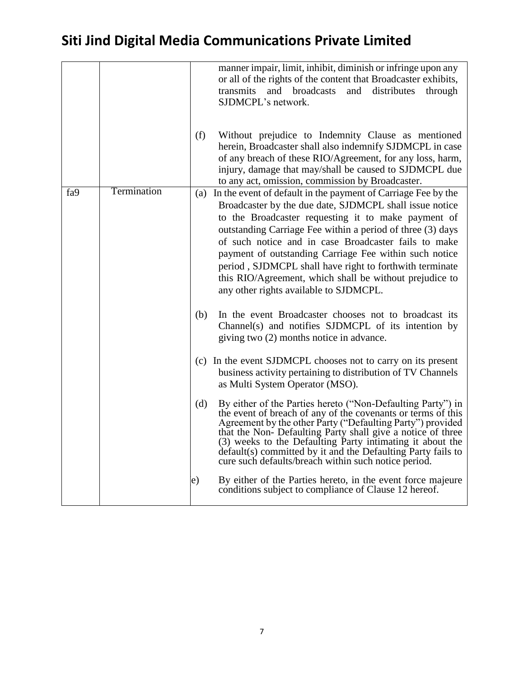|     |             |     | manner impair, limit, inhibit, diminish or infringe upon any<br>or all of the rights of the content that Broadcaster exhibits,<br>transmits<br>and broadcasts<br>and distributes<br>through<br>SJDMCPL's network.                                                                                                                                                                                                                                                                                                                   |
|-----|-------------|-----|-------------------------------------------------------------------------------------------------------------------------------------------------------------------------------------------------------------------------------------------------------------------------------------------------------------------------------------------------------------------------------------------------------------------------------------------------------------------------------------------------------------------------------------|
|     |             | (f) | Without prejudice to Indemnity Clause as mentioned<br>herein, Broadcaster shall also indemnify SJDMCPL in case<br>of any breach of these RIO/Agreement, for any loss, harm,<br>injury, damage that may/shall be caused to SJDMCPL due<br>to any act, omission, commission by Broadcaster.                                                                                                                                                                                                                                           |
| fa9 | Termination |     | (a) In the event of default in the payment of Carriage Fee by the<br>Broadcaster by the due date, SJDMCPL shall issue notice<br>to the Broadcaster requesting it to make payment of<br>outstanding Carriage Fee within a period of three (3) days<br>of such notice and in case Broadcaster fails to make<br>payment of outstanding Carriage Fee within such notice<br>period, SJDMCPL shall have right to forthwith terminate<br>this RIO/Agreement, which shall be without prejudice to<br>any other rights available to SJDMCPL. |
|     |             | (b) | In the event Broadcaster chooses not to broadcast its<br>Channel(s) and notifies SJDMCPL of its intention by<br>giving two (2) months notice in advance.                                                                                                                                                                                                                                                                                                                                                                            |
|     |             |     | (c) In the event SJDMCPL chooses not to carry on its present<br>business activity pertaining to distribution of TV Channels<br>as Multi System Operator (MSO).                                                                                                                                                                                                                                                                                                                                                                      |
|     |             | (d) | By either of the Parties hereto ("Non-Defaulting Party") in<br>the event of breach of any of the covenants or terms of this<br>Agreement by the other Party ("Defaulting Party") provided<br>that the Non-Defaulting Party shall give a notice of three<br>(3) weeks to the Defaulting Party intimating it about the<br>default(s) committed by it and the Defaulting Party fails to<br>cure such defaults/breach within such notice period.                                                                                        |
|     |             | e)  | By either of the Parties hereto, in the event force majeure<br>conditions subject to compliance of Clause 12 hereof.                                                                                                                                                                                                                                                                                                                                                                                                                |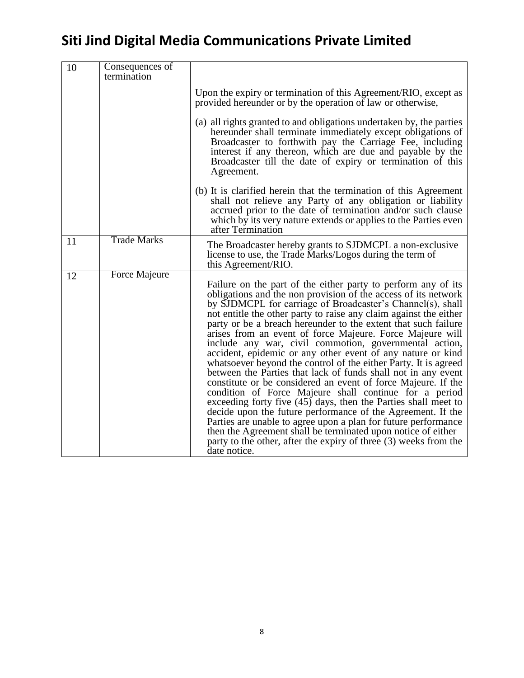| 10 | Consequences of<br>termination |                                                                                                                                                                                                                                                                                                                                                                                                                                                                                                                                                                                                                                                                                                                                                                                                                                                                                                                                                                                                                                                                                                                                                  |
|----|--------------------------------|--------------------------------------------------------------------------------------------------------------------------------------------------------------------------------------------------------------------------------------------------------------------------------------------------------------------------------------------------------------------------------------------------------------------------------------------------------------------------------------------------------------------------------------------------------------------------------------------------------------------------------------------------------------------------------------------------------------------------------------------------------------------------------------------------------------------------------------------------------------------------------------------------------------------------------------------------------------------------------------------------------------------------------------------------------------------------------------------------------------------------------------------------|
|    |                                | Upon the expiry or termination of this Agreement/RIO, except as<br>provided hereunder or by the operation of law or otherwise,                                                                                                                                                                                                                                                                                                                                                                                                                                                                                                                                                                                                                                                                                                                                                                                                                                                                                                                                                                                                                   |
|    |                                | (a) all rights granted to and obligations undertaken by, the parties<br>hereunder shall terminate immediately except obligations of<br>Broadcaster to forthwith pay the Carriage Fee, including<br>interest if any thereon, which are due and payable by the<br>Broadcaster till the date of expiry or termination of this<br>Agreement.                                                                                                                                                                                                                                                                                                                                                                                                                                                                                                                                                                                                                                                                                                                                                                                                         |
|    |                                | (b) It is clarified herein that the termination of this Agreement<br>shall not relieve any Party of any obligation or liability<br>accrued prior to the date of termination and/or such clause<br>which by its very nature extends or applies to the Parties even<br>after Termination                                                                                                                                                                                                                                                                                                                                                                                                                                                                                                                                                                                                                                                                                                                                                                                                                                                           |
| 11 | <b>Trade Marks</b>             | The Broadcaster hereby grants to SJDMCPL a non-exclusive<br>license to use, the Trade Marks/Logos during the term of<br>this Agreement/RIO.                                                                                                                                                                                                                                                                                                                                                                                                                                                                                                                                                                                                                                                                                                                                                                                                                                                                                                                                                                                                      |
| 12 | <b>Force Majeure</b>           | Failure on the part of the either party to perform any of its<br>obligations and the non provision of the access of its network<br>by SJDMCPL for carriage of Broadcaster's Channel(s), shall<br>not entitle the other party to raise any claim against the either<br>party or be a breach hereunder to the extent that such failure<br>arises from an event of force Majeure. Force Majeure will<br>include any war, civil commotion, governmental action,<br>accident, epidemic or any other event of any nature or kind<br>whatsoever beyond the control of the either Party. It is agreed<br>between the Parties that lack of funds shall not in any event<br>constitute or be considered an event of force Majeure. If the<br>condition of Force Majeure shall continue for a period<br>exceeding forty five (45) days, then the Parties shall meet to<br>decide upon the future performance of the Agreement. If the<br>Parties are unable to agree upon a plan for future performance<br>then the Agreement shall be terminated upon notice of either<br>party to the other, after the expiry of three (3) weeks from the<br>date notice. |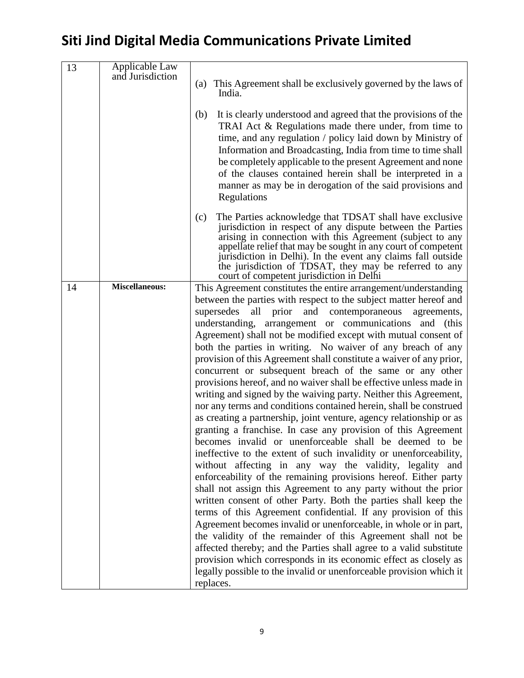| Applicable Law        |                                                                                                                                                                                                                                                                                                                                                                                                                                                                                                                                                                                                                                                                                                                                                                                                                                                                                                                                                                                                                                                                                                                                                                                                                                                                                                                                                                                                                                                                                                                                                                                                                                                                                                                         |
|-----------------------|-------------------------------------------------------------------------------------------------------------------------------------------------------------------------------------------------------------------------------------------------------------------------------------------------------------------------------------------------------------------------------------------------------------------------------------------------------------------------------------------------------------------------------------------------------------------------------------------------------------------------------------------------------------------------------------------------------------------------------------------------------------------------------------------------------------------------------------------------------------------------------------------------------------------------------------------------------------------------------------------------------------------------------------------------------------------------------------------------------------------------------------------------------------------------------------------------------------------------------------------------------------------------------------------------------------------------------------------------------------------------------------------------------------------------------------------------------------------------------------------------------------------------------------------------------------------------------------------------------------------------------------------------------------------------------------------------------------------------|
|                       | (a) This Agreement shall be exclusively governed by the laws of<br>India.                                                                                                                                                                                                                                                                                                                                                                                                                                                                                                                                                                                                                                                                                                                                                                                                                                                                                                                                                                                                                                                                                                                                                                                                                                                                                                                                                                                                                                                                                                                                                                                                                                               |
|                       | It is clearly understood and agreed that the provisions of the<br>(b)<br>TRAI Act & Regulations made there under, from time to<br>time, and any regulation / policy laid down by Ministry of<br>Information and Broadcasting, India from time to time shall<br>be completely applicable to the present Agreement and none<br>of the clauses contained herein shall be interpreted in a<br>manner as may be in derogation of the said provisions and<br>Regulations                                                                                                                                                                                                                                                                                                                                                                                                                                                                                                                                                                                                                                                                                                                                                                                                                                                                                                                                                                                                                                                                                                                                                                                                                                                      |
|                       | The Parties acknowledge that TDSAT shall have exclusive<br>(c)<br>jurisdiction in respect of any dispute between the Parties<br>arising in connection with this Agreement (subject to any<br>appellate relief that may be sought in any court of competent<br>jurisdiction in Delhi). In the event any claims fall outside<br>the jurisdiction of TDSAT, they may be referred to any<br>court of competent jurisdiction in Delhi                                                                                                                                                                                                                                                                                                                                                                                                                                                                                                                                                                                                                                                                                                                                                                                                                                                                                                                                                                                                                                                                                                                                                                                                                                                                                        |
| <b>Miscellaneous:</b> | This Agreement constitutes the entire arrangement/understanding<br>between the parties with respect to the subject matter hereof and<br>supersedes<br>and contemporaneous<br>all<br>prior<br>agreements,<br>understanding, arrangement or communications and (this<br>Agreement) shall not be modified except with mutual consent of<br>both the parties in writing. No waiver of any breach of any<br>provision of this Agreement shall constitute a waiver of any prior,<br>concurrent or subsequent breach of the same or any other<br>provisions hereof, and no waiver shall be effective unless made in<br>writing and signed by the waiving party. Neither this Agreement,<br>nor any terms and conditions contained herein, shall be construed<br>as creating a partnership, joint venture, agency relationship or as<br>granting a franchise. In case any provision of this Agreement<br>becomes invalid or unenforceable shall be deemed to be<br>ineffective to the extent of such invalidity or unenforceability,<br>without affecting in any way the validity, legality and<br>enforceability of the remaining provisions hereof. Either party<br>shall not assign this Agreement to any party without the prior<br>written consent of other Party. Both the parties shall keep the<br>terms of this Agreement confidential. If any provision of this<br>Agreement becomes invalid or unenforceable, in whole or in part,<br>the validity of the remainder of this Agreement shall not be<br>affected thereby; and the Parties shall agree to a valid substitute<br>provision which corresponds in its economic effect as closely as<br>legally possible to the invalid or unenforceable provision which it |
|                       | and Jurisdiction                                                                                                                                                                                                                                                                                                                                                                                                                                                                                                                                                                                                                                                                                                                                                                                                                                                                                                                                                                                                                                                                                                                                                                                                                                                                                                                                                                                                                                                                                                                                                                                                                                                                                                        |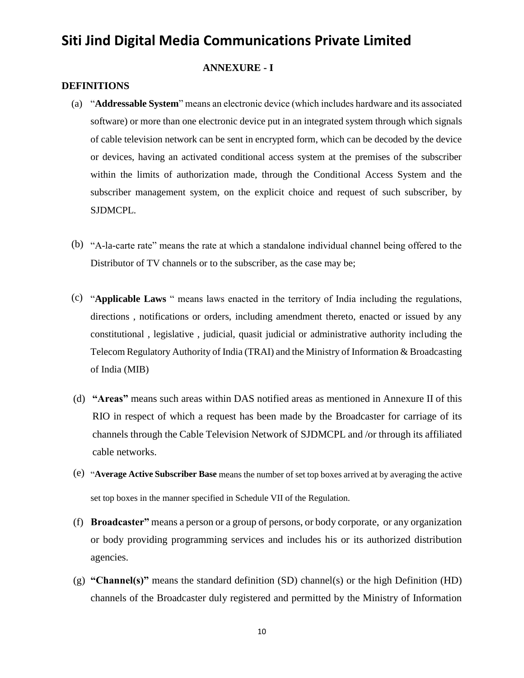#### **ANNEXURE - I**

#### **DEFINITIONS**

- (a) "**Addressable System**" means an electronic device (which includes hardware and its associated software) or more than one electronic device put in an integrated system through which signals of cable television network can be sent in encrypted form, which can be decoded by the device or devices, having an activated conditional access system at the premises of the subscriber within the limits of authorization made, through the Conditional Access System and the subscriber management system, on the explicit choice and request of such subscriber, by SJDMCPL.
- (b) "A-la-carte rate" means the rate at which a standalone individual channel being offered to the Distributor of TV channels or to the subscriber, as the case may be;
- (c) "**Applicable Laws** " means laws enacted in the territory of India including the regulations, directions , notifications or orders, including amendment thereto, enacted or issued by any constitutional , legislative , judicial, quasit judicial or administrative authority including the Telecom Regulatory Authority of India (TRAI) and the Ministry of Information & Broadcasting of India (MIB)
- (d) **"Areas"** means such areas within DAS notified areas as mentioned in Annexure II of this RIO in respect of which a request has been made by the Broadcaster for carriage of its channels through the Cable Television Network of SJDMCPL and /or through its affiliated cable networks.
- (e) "**Average Active Subscriber Base** means the number of set top boxes arrived at by averaging the active set top boxes in the manner specified in Schedule VII of the Regulation.
- (f) **Broadcaster"** means a person or a group of persons, or body corporate, or any organization or body providing programming services and includes his or its authorized distribution agencies.
- (g) **"Channel(s)"** means the standard definition (SD) channel(s) or the high Definition (HD) channels of the Broadcaster duly registered and permitted by the Ministry of Information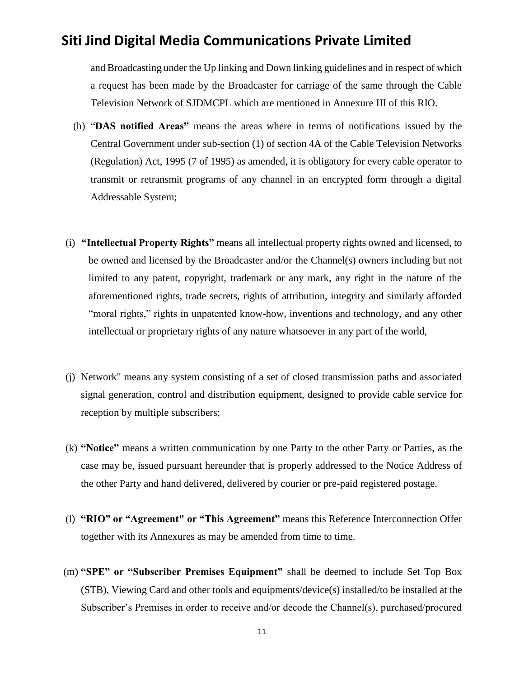and Broadcasting under the Up linking and Down linking guidelines and in respect of which a request has been made by the Broadcaster for carriage of the same through the Cable Television Network of SJDMCPL which are mentioned in Annexure III of this RIO.

- (h) "**DAS notified Areas"** means the areas where in terms of notifications issued by the Central Government under sub-section (1) of section 4A of the Cable Television Networks (Regulation) Act, 1995 (7 of 1995) as amended, it is obligatory for every cable operator to transmit or retransmit programs of any channel in an encrypted form through a digital Addressable System;
- (i) **"Intellectual Property Rights"** means all intellectual property rights owned and licensed, to be owned and licensed by the Broadcaster and/or the Channel(s) owners including but not limited to any patent, copyright, trademark or any mark, any right in the nature of the aforementioned rights, trade secrets, rights of attribution, integrity and similarly afforded "moral rights," rights in unpatented know-how, inventions and technology, and any other intellectual or proprietary rights of any nature whatsoever in any part of the world,
- (j) Network" means any system consisting of a set of closed transmission paths and associated signal generation, control and distribution equipment, designed to provide cable service for reception by multiple subscribers;
- (k) **"Notice"** means a written communication by one Party to the other Party or Parties, as the case may be, issued pursuant hereunder that is properly addressed to the Notice Address of the other Party and hand delivered, delivered by courier or pre-paid registered postage.
- (l) **"RIO" or "Agreement" or "This Agreement"** means this Reference Interconnection Offer together with its Annexures as may be amended from time to time.
- (m) **"SPE" or "Subscriber Premises Equipment"** shall be deemed to include Set Top Box (STB), Viewing Card and other tools and equipments/device(s) installed/to be installed at the Subscriber's Premises in order to receive and/or decode the Channel(s), purchased/procured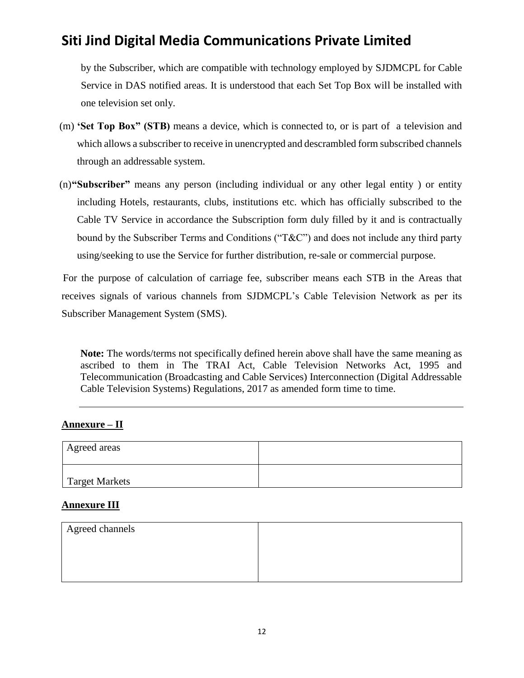by the Subscriber, which are compatible with technology employed by SJDMCPL for Cable Service in DAS notified areas. It is understood that each Set Top Box will be installed with one television set only.

- (m) **'Set Top Box" (STB)** means a device, which is connected to, or is part of a television and which allows a subscriber to receive in unencrypted and descrambled form subscribed channels through an addressable system.
- (n)**"Subscriber"** means any person (including individual or any other legal entity ) or entity including Hotels, restaurants, clubs, institutions etc. which has officially subscribed to the Cable TV Service in accordance the Subscription form duly filled by it and is contractually bound by the Subscriber Terms and Conditions ("T&C") and does not include any third party using/seeking to use the Service for further distribution, re-sale or commercial purpose.

For the purpose of calculation of carriage fee, subscriber means each STB in the Areas that receives signals of various channels from SJDMCPL's Cable Television Network as per its Subscriber Management System (SMS).

**Note:** The words/terms not specifically defined herein above shall have the same meaning as ascribed to them in The TRAI Act, Cable Television Networks Act, 1995 and Telecommunication (Broadcasting and Cable Services) Interconnection (Digital Addressable Cable Television Systems) Regulations, 2017 as amended form time to time.

### **Annexure – II**

| Agreed areas   |  |
|----------------|--|
| Target Markets |  |

#### **Annexure III**

| Agreed channels |  |
|-----------------|--|
|                 |  |
|                 |  |
|                 |  |